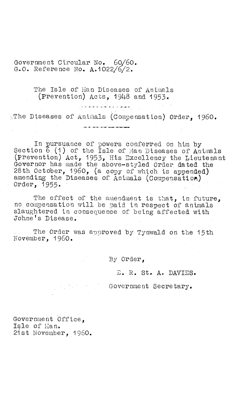Government Circular No. 60/60. G.O. Reference No. A.1022/6/2.

> The Isle of Man Diseases of Animals (prevention) Acts, 1948 and 1953.

> > ر<br>را به تعداد است به این به این منتقل به است به این<br>را به این بازی به این بازی به این بازی به این بازی به این بازی به این بازی به این بازی به این بازی به این بازی

The Diseases of Animals (Compensation) Order, 1960.

In pursuance of powers conferred on him by Section 6.(1) of the Isle of Han Diseases of Animals (prevention) Act, 1953, His Excellency the Lieutenant Governor has made the above—styled Order. dated the 28th October, 1960, (a copy of which is appended) amending the Diseases of Animals (Compensation)

The effect of the amendment is that, in future, no compensation will be paid in respect of animals slaughtered in consequence of being affected with Johne's Disease.

The Order was approved by Tynwald on the 15th November, 1960.

By Order,

E. R. St. A. DAVIES.

Government Secretary.

Government Office, Isle of Man. 21st November, 1960.